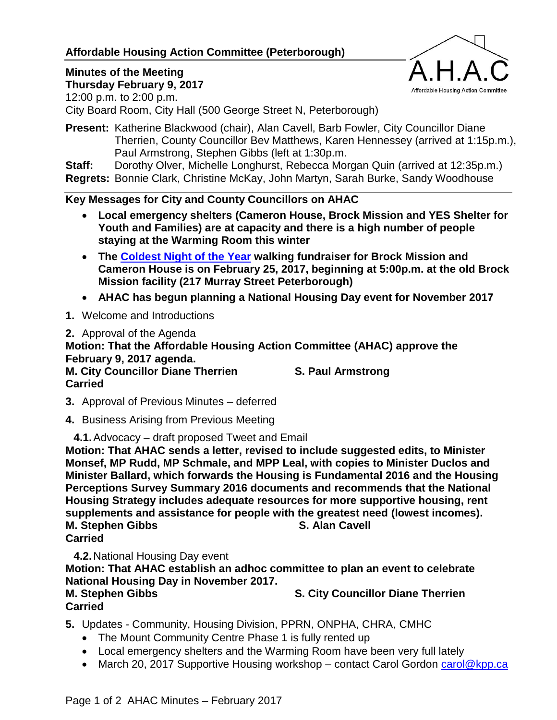## **Affordable Housing Action Committee (Peterborough)**

#### **Minutes of the Meeting Thursday February 9, 2017**



12:00 p.m. to 2:00 p.m. City Board Room, City Hall (500 George Street N, Peterborough)

**Present:** Katherine Blackwood (chair), Alan Cavell, Barb Fowler, City Councillor Diane Therrien, County Councillor Bev Matthews, Karen Hennessey (arrived at 1:15p.m.), Paul Armstrong, Stephen Gibbs (left at 1:30p.m.

**Staff:** Dorothy Olver, Michelle Longhurst, Rebecca Morgan Quin (arrived at 12:35p.m.) **Regrets:** Bonnie Clark, Christine McKay, John Martyn, Sarah Burke, Sandy Woodhouse

### **Key Messages for City and County Councillors on AHAC**

- **Local emergency shelters (Cameron House, Brock Mission and YES Shelter for Youth and Families) are at capacity and there is a high number of people staying at the Warming Room this winter**
- **The [Coldest Night of the Year](https://canada.cnoy.org/location/peterborough) walking fundraiser for Brock Mission and Cameron House is on February 25, 2017, beginning at 5:00p.m. at the old Brock Mission facility (217 Murray Street Peterborough)**
- **AHAC has begun planning a National Housing Day event for November 2017**

**1.** Welcome and Introductions

**2.** Approval of the Agenda

**Motion: That the Affordable Housing Action Committee (AHAC) approve the February 9, 2017 agenda. M. City Councillor Diane Therrien S. Paul Armstrong Carried**

- **3.** Approval of Previous Minutes deferred
- **4.** Business Arising from Previous Meeting

**4.1.**Advocacy – draft proposed Tweet and Email

**Motion: That AHAC sends a letter, revised to include suggested edits, to Minister Monsef, MP Rudd, MP Schmale, and MPP Leal, with copies to Minister Duclos and Minister Ballard, which forwards the Housing is Fundamental 2016 and the Housing Perceptions Survey Summary 2016 documents and recommends that the National Housing Strategy includes adequate resources for more supportive housing, rent supplements and assistance for people with the greatest need (lowest incomes). M. Stephen Gibbs Carried**

**4.2.**National Housing Day event

**Motion: That AHAC establish an adhoc committee to plan an event to celebrate National Housing Day in November 2017.**

**Carried**

**M. Stephen Gibbs S. City Councillor Diane Therrien**

- **5.** Updates Community, Housing Division, PPRN, ONPHA, CHRA, CMHC
	- The Mount Community Centre Phase 1 is fully rented up
	- Local emergency shelters and the Warming Room have been very full lately
	- March 20, 2017 Supportive Housing workshop contact Carol Gordon [carol@kpp.ca](mailto:carol@kpp.ca)